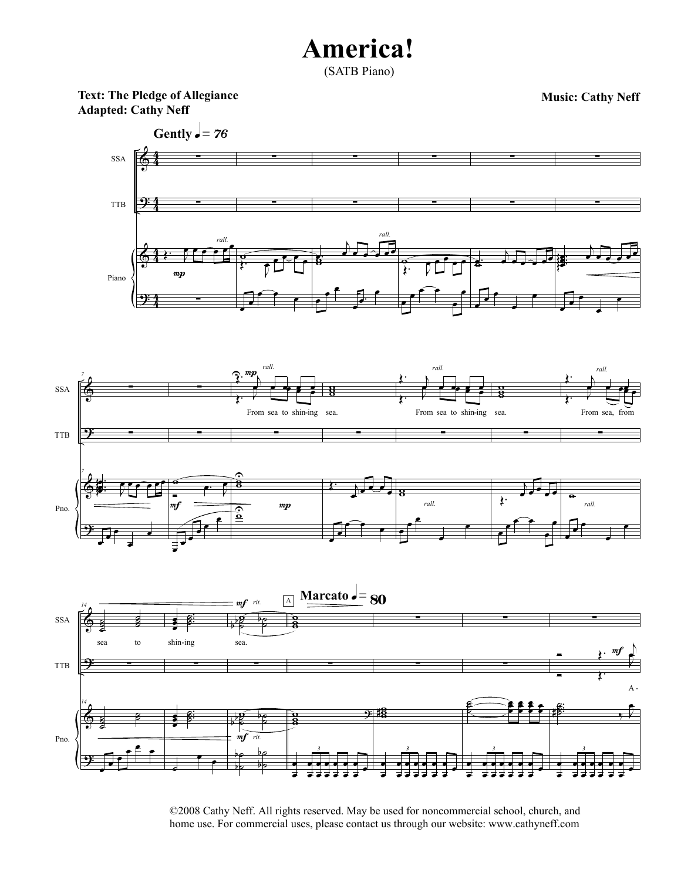(SATB Piano)

**Text: The Pledge of Allegiance Adapted: Cathy Neff**







©2008 Cathy Neff. All rights reserved. May be used for noncommercial school, church, and home use. For commercial uses, please contact us through our website: www.cathyneff.com

**Music: Cathy Neff**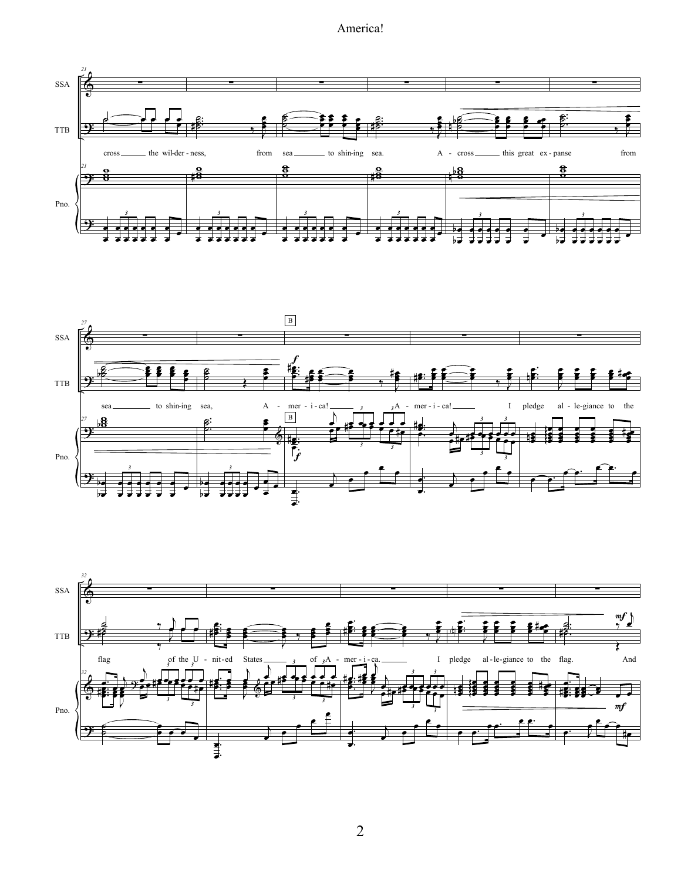



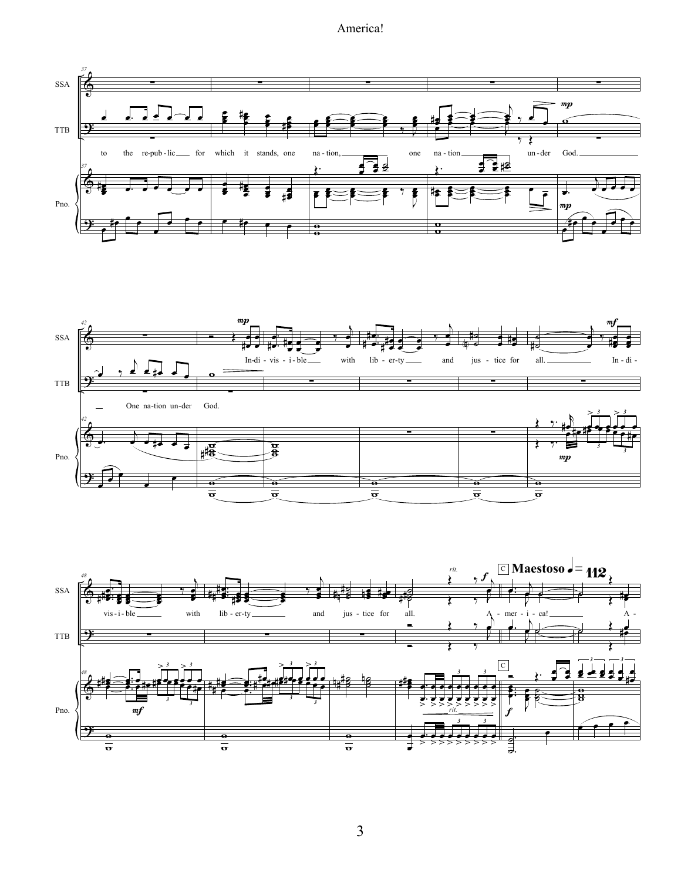





 $\overline{3}$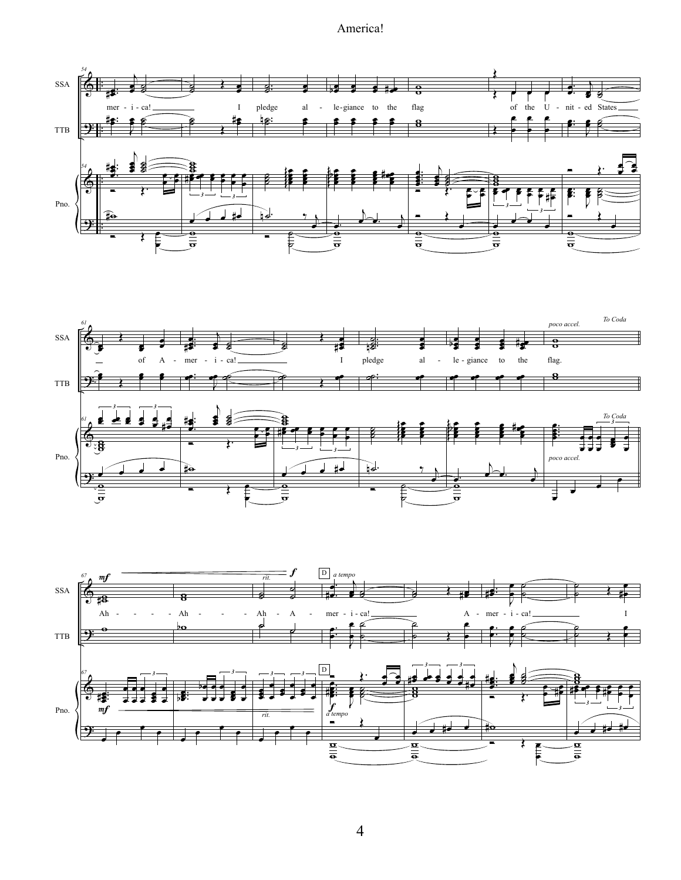





4